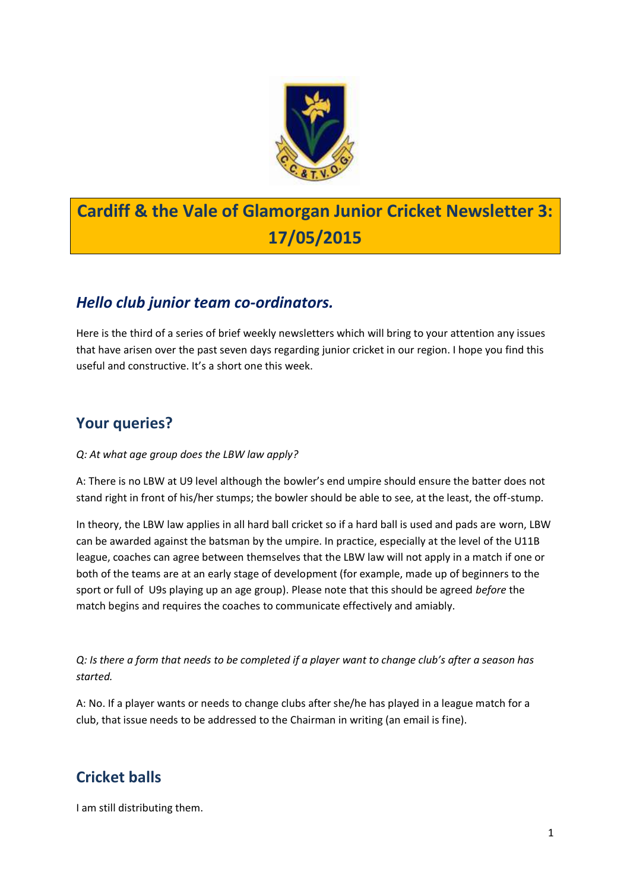

# **Cardiff & the Vale of Glamorgan Junior Cricket Newsletter 3: 17/05/2015**

## *Hello club junior team co-ordinators.*

Here is the third of a series of brief weekly newsletters which will bring to your attention any issues that have arisen over the past seven days regarding junior cricket in our region. I hope you find this useful and constructive. It's a short one this week.

### **Your queries?**

#### *Q: At what age group does the LBW law apply?*

A: There is no LBW at U9 level although the bowler's end umpire should ensure the batter does not stand right in front of his/her stumps; the bowler should be able to see, at the least, the off-stump.

In theory, the LBW law applies in all hard ball cricket so if a hard ball is used and pads are worn, LBW can be awarded against the batsman by the umpire. In practice, especially at the level of the U11B league, coaches can agree between themselves that the LBW law will not apply in a match if one or both of the teams are at an early stage of development (for example, made up of beginners to the sport or full of U9s playing up an age group). Please note that this should be agreed *before* the match begins and requires the coaches to communicate effectively and amiably.

*Q: Is there a form that needs to be completed if a player want to change club's after a season has started.*

A: No. If a player wants or needs to change clubs after she/he has played in a league match for a club, that issue needs to be addressed to the Chairman in writing (an email is fine).

### **Cricket balls**

I am still distributing them.